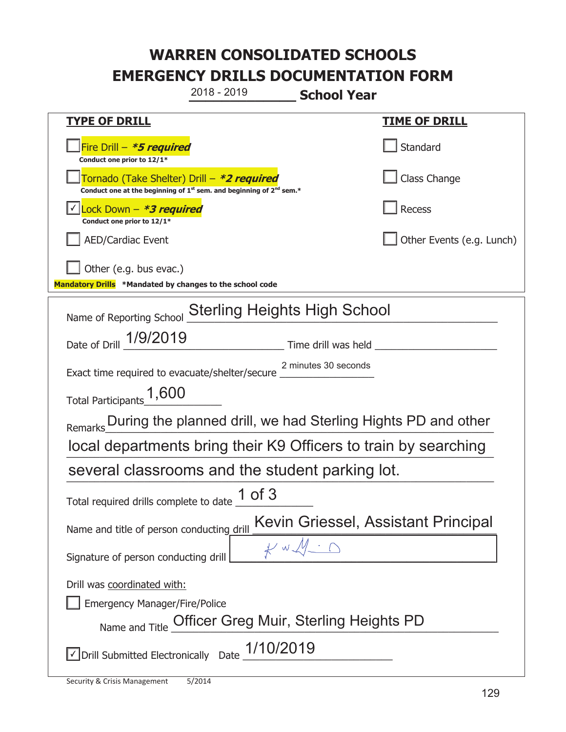**\_\_\_\_\_\_\_\_\_\_\_\_\_ School Year TYPE OF DRILL TIME OF DRILL**  侊Fire Drill – **\*5 required Conduct one prior to 12/1\* Standard** 侊Tornado (Take Shelter) Drill – **\*2 required** Conduct one at the beginning of 1<sup>st</sup> sem. and beginning of 2<sup>nd</sup> sem.\* Class Change 侊Lock Down – **\*3 required** ✔ **Conduct one prior to 12/1\* Recess** AED/Cardiac Event and a set of the set of the set of the United States (e.g. Lunch) Other (e.g. bus evac.) **Mandatory Drills \*Mandated by changes to the school code**  Name of Reporting School Sterling Heights High School Time drill was held Exact time required to evacuate/shelter/secure Total Participants  $1,600$ Remarks During the planned drill, we had Sterling Hights PD and other local departments bring their K9 Officers to train by searching several classrooms and the student parking lot. Total required drills complete to date  $\frac{1 \text{ of } 3}{}$ Name and title of person conducting drill Kevin Griessel, Assistant Principal Signature of person conducting drill  $\mathcal{H} \circ \mathcal{M} \circ \mathcal{M}$ Drill was coordinated with: ܆ Emergency Manager/Fire/Police Name and Title Officer Greg Muir, Sterling Heights PD  $\triangledown$  Drill Submitted Electronically Date  $\frac{1/10/2019}{\sqrt{10/100}}$ 2018 - 2019 Date of Drill 1/9/2019 2 minutes 30 seconds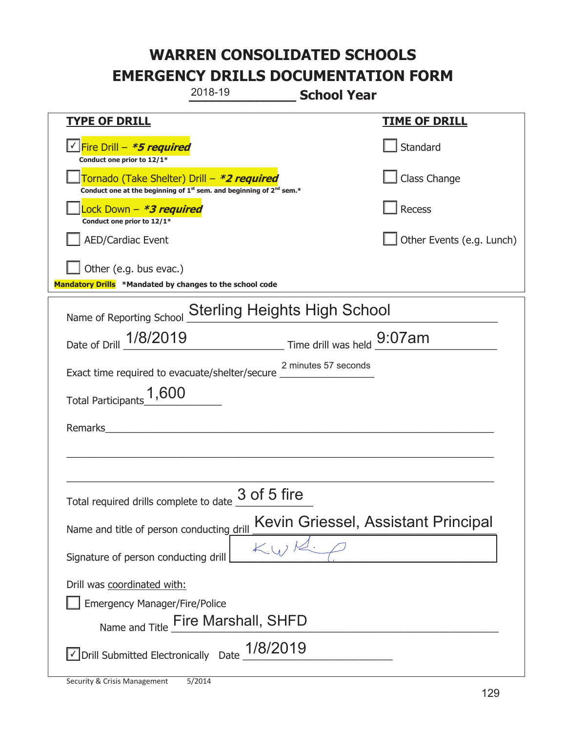|                                                                                  | 2018-19                                                                                     | <b>School Year</b> |                           |  |
|----------------------------------------------------------------------------------|---------------------------------------------------------------------------------------------|--------------------|---------------------------|--|
| <b>TYPE OF DRILL</b>                                                             |                                                                                             |                    | <b>TIME OF DRILL</b>      |  |
| √Fire Drill – <i>*<b>5 required</b></i><br>Conduct one prior to 12/1*            |                                                                                             |                    | Standard                  |  |
| Tornado (Take Shelter) Drill – *2 required                                       | Conduct one at the beginning of 1 <sup>st</sup> sem. and beginning of 2 <sup>nd</sup> sem.* |                    | Class Change              |  |
| ock Down - <b>*3 required</b><br>Conduct one prior to 12/1*                      |                                                                                             |                    | <b>Recess</b>             |  |
| <b>AED/Cardiac Event</b>                                                         |                                                                                             |                    | Other Events (e.g. Lunch) |  |
| Other (e.g. bus evac.)                                                           |                                                                                             |                    |                           |  |
| Mandatory Drills *Mandated by changes to the school code                         |                                                                                             |                    |                           |  |
| Name of Reporting School                                                         | <b>Sterling Heights High School</b>                                                         |                    |                           |  |
| Date of Drill 1/8/2019 Time drill was held 9:07am                                |                                                                                             |                    |                           |  |
| Exact time required to evacuate/shelter/secure 2 minutes 57 seconds              |                                                                                             |                    |                           |  |
| Total Participants <sup>1</sup> ,600                                             |                                                                                             |                    |                           |  |
| Remarks                                                                          |                                                                                             |                    |                           |  |
|                                                                                  |                                                                                             |                    |                           |  |
|                                                                                  |                                                                                             |                    |                           |  |
| Total required drills complete to date                                           | 3 of 5 fire                                                                                 |                    |                           |  |
| Kevin Griessel, Assistant Principal<br>Name and title of person conducting drill |                                                                                             |                    |                           |  |
| Signature of person conducting drill                                             |                                                                                             |                    |                           |  |
| Drill was coordinated with:<br><b>Emergency Manager/Fire/Police</b>              | Name and Title <b>Fire Marshall</b> , SHFD                                                  |                    |                           |  |
| $\vee$ Drill Submitted Electronically Date $\_1/8/2019$                          |                                                                                             |                    |                           |  |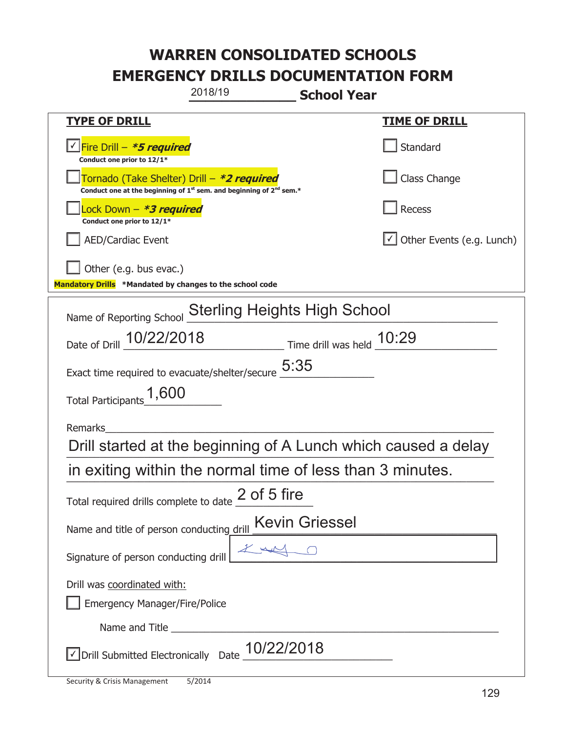| 2018/19<br><b>School Year</b>                                                                                               |                                  |  |  |  |
|-----------------------------------------------------------------------------------------------------------------------------|----------------------------------|--|--|--|
| <b>TYPE OF DRILL</b>                                                                                                        | <u>TIME OF DRILL</u>             |  |  |  |
| <u> √ Fire Drill – <i>*<b>5 required</b></i></u><br>Conduct one prior to 12/1*                                              | Standard                         |  |  |  |
| Tornado (Take Shelter) Drill – *2 required<br>Conduct one at the beginning of $1^{st}$ sem. and beginning of $2^{nd}$ sem.* | Class Change                     |  |  |  |
| Lock Down – <b>*<i>3 required</i></b><br>Conduct one prior to 12/1*                                                         | Recess                           |  |  |  |
| <b>AED/Cardiac Event</b>                                                                                                    | $\cup$ Other Events (e.g. Lunch) |  |  |  |
| Other (e.g. bus evac.)<br>Mandatory Drills *Mandated by changes to the school code                                          |                                  |  |  |  |
| Name of Reporting School Sterling Heights High School                                                                       |                                  |  |  |  |
| Date of Drill 10/22/2018 Time drill was held 10:29                                                                          |                                  |  |  |  |
| Exact time required to evacuate/shelter/secure $\underline{5:35}$                                                           |                                  |  |  |  |
| Total Participants <sup>1</sup> ,600                                                                                        |                                  |  |  |  |
| Remarks                                                                                                                     |                                  |  |  |  |
| Drill started at the beginning of A Lunch which caused a delay                                                              |                                  |  |  |  |
| in exiting within the normal time of less than 3 minutes.                                                                   |                                  |  |  |  |
| Total required drills complete to date 2 of 5 fire                                                                          |                                  |  |  |  |
| Name and title of person conducting drill <b>Kevin Griessel</b>                                                             |                                  |  |  |  |
| Signature of person conducting drill                                                                                        |                                  |  |  |  |
| Drill was coordinated with:<br><b>Emergency Manager/Fire/Police</b>                                                         |                                  |  |  |  |
|                                                                                                                             |                                  |  |  |  |
| $\vee$ Drill Submitted Electronically Date $\underline{10/22/2018}$                                                         |                                  |  |  |  |

T